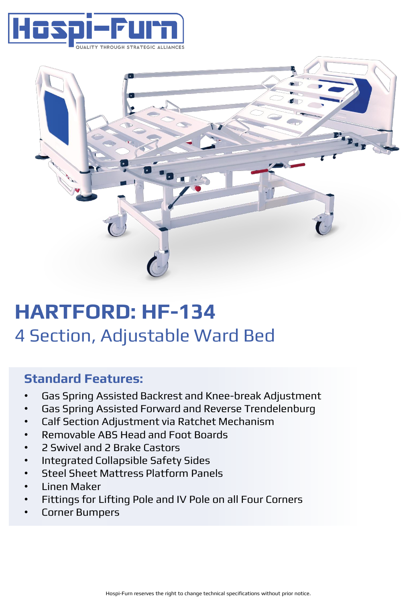



# **HARTFORD: HF-134** 4 Section, Adjustable Ward Bed

## **Standard Features:**

- Gas Spring Assisted Backrest and Knee-break Adjustment
- Gas Spring Assisted Forward and Reverse Trendelenburg
- Calf Section Adjustment via Ratchet Mechanism
- Removable ABS Head and Foot Boards
- 2 Swivel and 2 Brake Castors
- Integrated Collapsible Safety Sides
- Steel Sheet Mattress Platform Panels
- Linen Maker
- Fittings for Lifting Pole and IV Pole on all Four Corners
- Corner Bumpers